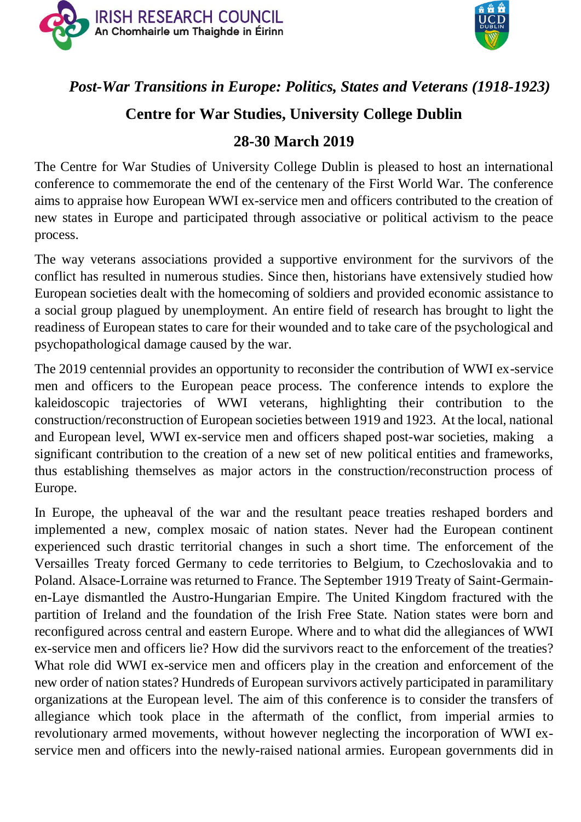



# *Post-War Transitions in Europe: Politics, States and Veterans (1918-1923)*

## **Centre for War Studies, University College Dublin**

## **28-30 March 2019**

The Centre for War Studies of University College Dublin is pleased to host an international conference to commemorate the end of the centenary of the First World War. The conference aims to appraise how European WWI ex-service men and officers contributed to the creation of new states in Europe and participated through associative or political activism to the peace process.

The way veterans associations provided a supportive environment for the survivors of the conflict has resulted in numerous studies. Since then, historians have extensively studied how European societies dealt with the homecoming of soldiers and provided economic assistance to a social group plagued by unemployment. An entire field of research has brought to light the readiness of European states to care for their wounded and to take care of the psychological and psychopathological damage caused by the war.

The 2019 centennial provides an opportunity to reconsider the contribution of WWI ex-service men and officers to the European peace process. The conference intends to explore the kaleidoscopic trajectories of WWI veterans, highlighting their contribution to the construction/reconstruction of European societies between 1919 and 1923. At the local, national and European level, WWI ex-service men and officers shaped post-war societies, making a significant contribution to the creation of a new set of new political entities and frameworks, thus establishing themselves as major actors in the construction/reconstruction process of Europe.

In Europe, the upheaval of the war and the resultant peace treaties reshaped borders and implemented a new, complex mosaic of nation states. Never had the European continent experienced such drastic territorial changes in such a short time. The enforcement of the Versailles Treaty forced Germany to cede territories to Belgium, to Czechoslovakia and to Poland. Alsace-Lorraine was returned to France. The September 1919 Treaty of Saint-Germainen-Laye dismantled the Austro-Hungarian Empire. The United Kingdom fractured with the partition of Ireland and the foundation of the Irish Free State. Nation states were born and reconfigured across central and eastern Europe. Where and to what did the allegiances of WWI ex-service men and officers lie? How did the survivors react to the enforcement of the treaties? What role did WWI ex-service men and officers play in the creation and enforcement of the new order of nation states? Hundreds of European survivors actively participated in paramilitary organizations at the European level. The aim of this conference is to consider the transfers of allegiance which took place in the aftermath of the conflict, from imperial armies to revolutionary armed movements, without however neglecting the incorporation of WWI exservice men and officers into the newly-raised national armies. European governments did in